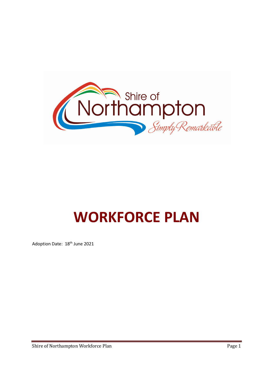

# WORKFORCE PLAN

Adoption Date: 18<sup>th</sup> June 2021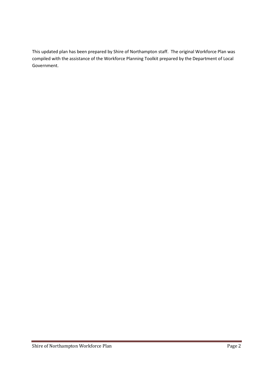This updated plan has been prepared by Shire of Northampton staff. The original Workforce Plan was compiled with the assistance of the Workforce Planning Toolkit prepared by the Department of Local Government.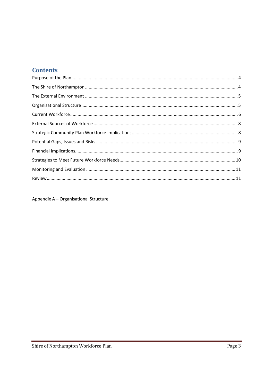# **Contents**

Appendix A - Organisational Structure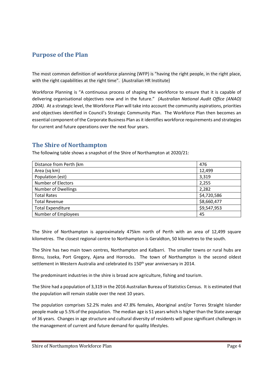# Purpose of the Plan

The most common definition of workforce planning (WFP) is "having the right people, in the right place, with the right capabilities at the right time". (Australian HR Institute)

Workforce Planning is "A continuous process of shaping the workforce to ensure that it is capable of delivering organisational objectives now and in the future." (Australian National Audit Office (ANAO) 2004). At a strategic level, the Workforce Plan will take into account the community aspirations, priorities and objectives identified in Council's Strategic Community Plan. The Workforce Plan then becomes an essential component of the Corporate Business Plan as it identifies workforce requirements and strategies for current and future operations over the next four years.

## The Shire of Northampton

The following table shows a snapshot of the Shire of Northampton at 2020/21:

| Distance from Perth (km    | 476         |
|----------------------------|-------------|
| Area (sq km)               | 12,499      |
| Population (est)           | 3,319       |
| Number of Electors         | 2,255       |
| <b>Number of Dwellings</b> | 2,282       |
| <b>Total Rates</b>         | \$4,720,586 |
| <b>Total Revenue</b>       | \$8,660,477 |
| <b>Total Expenditure</b>   | \$9,547,953 |
| Number of Employees        | 45          |

The Shire of Northampton is approximately 475km north of Perth with an area of 12,499 square kilometres. The closest regional centre to Northampton is Geraldton, 50 kilometres to the south.

The Shire has two main town centres, Northampton and Kalbarri. The smaller towns or rural hubs are Binnu, Isseka, Port Gregory, Ajana and Horrocks. The town of Northampton is the second oldest settlement in Western Australia and celebrated its 150<sup>th</sup> year anniversary in 2014.

The predominant industries in the shire is broad acre agriculture, fishing and tourism.

The Shire had a population of 3,319 in the 2016 Australian Bureau of Statistics Census. It is estimated that the population will remain stable over the next 10 years.

The population comprises 52.2% males and 47.8% females, Aboriginal and/or Torres Straight Islander people made up 5.5% of the population. The median age is 51 years which is higher than the State average of 36 years. Changes in age structure and cultural diversity of residents will pose significant challenges in the management of current and future demand for quality lifestyles.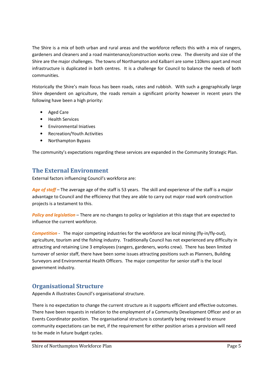The Shire is a mix of both urban and rural areas and the workforce reflects this with a mix of rangers, gardeners and cleaners and a road maintenance/construction works crew. The diversity and size of the Shire are the major challenges. The towns of Northampton and Kalbarri are some 110kms apart and most infrastructure is duplicated in both centres. It is a challenge for Council to balance the needs of both communities.

Historically the Shire's main focus has been roads, rates and rubbish. With such a geographically large Shire dependent on agriculture, the roads remain a significant priority however in recent years the following have been a high priority:

- Aged Care
- Health Services
- Environmental Iniatives
- Recreation/Youth Activities
- Northampton Bypass

The community's expectations regarding these services are expanded in the Community Strategic Plan.

## The External Environment

External factors influencing Council's workforce are:

Age of staff – The average age of the staff is 53 years. The skill and experience of the staff is a major advantage to Council and the efficiency that they are able to carry out major road work construction projects is a testament to this.

Policy and legislation – There are no changes to policy or legislation at this stage that are expected to influence the current workforce.

Competition - The major competing industries for the workforce are local mining (fly-in/fly-out), agriculture, tourism and the fishing industry. Traditionally Council has not experienced any difficulty in attracting and retaining Line 3 employees (rangers, gardeners, works crew). There has been limited turnover of senior staff, there have been some issues attracting positions such as Planners, Building Surveyors and Environmental Health Officers. The major competitor for senior staff is the local government industry.

## Organisational Structure

Appendix A illustrates Council's organisational structure.

There is no expectation to change the current structure as it supports efficient and effective outcomes. There have been requests in relation to the employment of a Community Development Officer and or an Events Coordinator position. The organisational structure is constantly being reviewed to ensure community expectations can be met, if the requirement for either position arises a provision will need to be made in future budget cycles.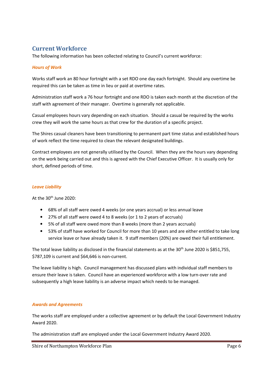# Current Workforce

The following information has been collected relating to Council's current workforce:

#### Hours of Work

Works staff work an 80 hour fortnight with a set RDO one day each fortnight. Should any overtime be required this can be taken as time in lieu or paid at overtime rates.

Administration staff work a 76 hour fortnight and one RDO is taken each month at the discretion of the staff with agreement of their manager. Overtime is generally not applicable.

Casual employees hours vary depending on each situation. Should a casual be required by the works crew they will work the same hours as that crew for the duration of a specific project.

The Shires casual cleaners have been transitioning to permanent part time status and established hours of work reflect the time required to clean the relevant designated buildings.

Contract employees are not generally utilised by the Council. When they are the hours vary depending on the work being carried out and this is agreed with the Chief Executive Officer. It is usually only for short, defined periods of time.

#### Leave Liability

At the 30<sup>th</sup> June 2020:

- 68% of all staff were owed 4 weeks (or one years accrual) or less annual leave
- 27% of all staff were owed 4 to 8 weeks (or 1 to 2 years of accruals)
- 5% of all staff were owed more than 8 weeks (more than 2 years accruals)
- 53% of staff have worked for Council for more than 10 years and are either entitled to take long service leave or have already taken it. 9 staff members (20%) are owed their full entitlement.

The total leave liability as disclosed in the financial statements as at the 30<sup>th</sup> June 2020 is \$851,755, \$787,109 is current and \$64,646 is non-current.

The leave liability is high. Council management has discussed plans with individual staff members to ensure their leave is taken. Council have an experienced workforce with a low turn-over rate and subsequently a high leave liability is an adverse impact which needs to be managed.

#### Awards and Agreements

The works staff are employed under a collective agreement or by default the Local Government Industry Award 2020.

The administration staff are employed under the Local Government Industry Award 2020.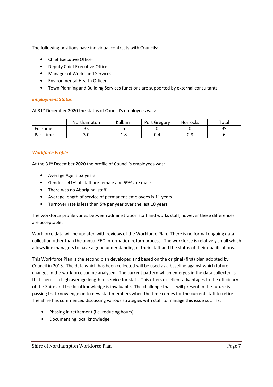The following positions have individual contracts with Councils:

- Chief Executive Officer
- Deputy Chief Executive Officer
- Manager of Works and Services
- Environmental Health Officer
- Town Planning and Building Services functions are supported by external consultants

#### Employment Status

At 31<sup>st</sup> December 2020 the status of Council's employees was:

|           | Northampton | Kalbarri   | Port Gregory | Horrocks | Total          |
|-----------|-------------|------------|--------------|----------|----------------|
| Full-time | --          |            |              |          | วด<br><u>-</u> |
| Part-time | J.U         | 1 O<br>⊥.∪ | U.4          | റ<br>u.o |                |

#### Workforce Profile

At the 31<sup>st</sup> December 2020 the profile of Council's employees was:

- Average Age is 53 years
- Gender 41% of staff are female and 59% are male
- There was no Aboriginal staff
- Average length of service of permanent employees is 11 years
- Turnover rate is less than 5% per year over the last 10 years.

The workforce profile varies between administration staff and works staff, however these differences are acceptable.

Workforce data will be updated with reviews of the Workforce Plan. There is no formal ongoing data collection other than the annual EEO information return process. The workforce is relatively small which allows line managers to have a good understanding of their staff and the status of their qualifications.

This Workforce Plan is the second plan developed and based on the original (first) plan adopted by Council in 2013. The data which has been collected will be used as a baseline against which future changes in the workforce can be analysed. The current pattern which emerges in the data collected is that there is a high average length of service for staff. This offers excellent advantages to the efficiency of the Shire and the local knowledge is invaluable. The challenge that it will present in the future is passing that knowledge on to new staff members when the time comes for the current staff to retire. The Shire has commenced discussing various strategies with staff to manage this issue such as:

- Phasing in retirement (i.e. reducing hours).
- Documenting local knowledge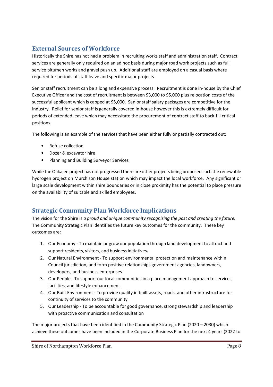# External Sources of Workforce

Historically the Shire has not had a problem in recruiting works staff and administration staff. Contract services are generally only required on an ad hoc basis during major road work projects such as full service bitumen works and gravel push up. Additional staff are employed on a casual basis where required for periods of staff leave and specific major projects.

Senior staff recruitment can be a long and expensive process. Recruitment is done in-house by the Chief Executive Officer and the cost of recruitment is between \$3,000 to \$5,000 plus relocation costs of the successful applicant which is capped at \$5,000. Senior staff salary packages are competitive for the industry. Relief for senior staff is generally covered in-house however this is extremely difficult for periods of extended leave which may necessitate the procurement of contract staff to back-fill critical positions.

The following is an example of the services that have been either fully or partially contracted out:

- Refuse collection
- Dozer & excavator hire
- Planning and Building Surveyor Services

While the Oakajee project has not progressed there are other projects being proposed such the renewable hydrogen project on Murchison House station which may impact the local workforce. Any significant or large scale development within shire boundaries or in close proximity has the potential to place pressure on the availability of suitable and skilled employees.

# Strategic Community Plan Workforce Implications

The vision for the Shire is a proud and unique community recognising the past and creating the future. The Community Strategic Plan identifies the future key outcomes for the community. These key outcomes are:

- 1. Our Economy To maintain or grow our population through land development to attract and support residents, visitors, and business initiatives.
- 2. Our Natural Environment To support environmental protection and maintenance within Council jurisdiction, and form positive relationships government agencies, landowners, developers, and business enterprises.
- 3. Our People To support our local communities in a place management approach to services, facilities, and lifestyle enhancement.
- 4. Our Built Environment To provide quality in built assets, roads, and other infrastructure for continuity of services to the community
- 5. Our Leadership To be accountable for good governance, strong stewardship and leadership with proactive communication and consultation

The major projects that have been identified in the Community Strategic Plan (2020 – 2030) which achieve these outcomes have been included in the Corporate Business Plan for the next 4 years (2022 to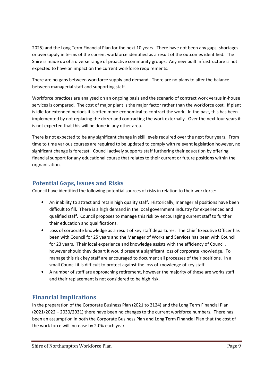2025) and the Long Term Financial Plan for the next 10 years. There have not been any gaps, shortages or oversupply in terms of the current workforce identified as a result of the outcomes identified. The Shire is made up of a diverse range of proactive community groups. Any new built infrastructure is not expected to have an impact on the current workforce requirements.

There are no gaps between workforce supply and demand. There are no plans to alter the balance between managerial staff and supporting staff.

Workforce practices are analysed on an ongoing basis and the scenario of contract work versus in-house services is compared. The cost of major plant is the major factor rather than the workforce cost. If plant is idle for extended periods it is often more economical to contract the work. In the past, this has been implemented by not replacing the dozer and contracting the work externally. Over the next four years it is not expected that this will be done in any other area.

There is not expected to be any significant change in skill levels required over the next four years. From time to time various courses are required to be updated to comply with relevant legislation however, no significant change is forecast. Council actively supports staff furthering their education by offering financial support for any educational course that relates to their current or future positions within the orgnanisation.

## Potential Gaps, Issues and Risks

Council have identified the following potential sources of risks in relation to their workforce:

- An inability to attract and retain high quality staff. Historically, managerial positions have been difficult to fill. There is a high demand in the local government industry for experienced and qualified staff. Council proposes to manage this risk by encouraging current staff to further their education and qualifications.
- Loss of corporate knowledge as a result of key staff departures. The Chief Executive Officer has been with Council for 25 years and the Manager of Works and Services has been with Council for 23 years. Their local experience and knowledge assists with the efficiency of Council, however should they depart it would present a significant loss of corporate knowledge. To manage this risk key staff are encouraged to document all processes of their positions. In a small Council it is difficult to protect against the loss of knowledge of key staff.
- A number of staff are approaching retirement, however the majority of these are works staff and their replacement is not considered to be high risk.

## Financial Implications

In the preparation of the Corporate Business Plan (2021 to 2124) and the Long Term Financial Plan (2021/2022 – 2030/2031) there have been no changes to the current workforce numbers. There has been an assumption in both the Corporate Business Plan and Long Term Financial Plan that the cost of the work force will increase by 2.0% each year.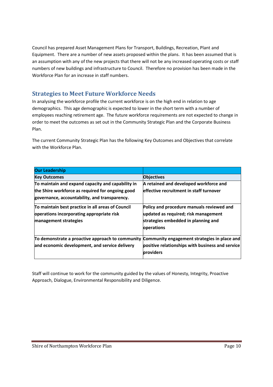Council has prepared Asset Management Plans for Transport, Buildings, Recreation, Plant and Equipment. There are a number of new assets proposed within the plans. It has been assumed that is an assumption with any of the new projects that there will not be any increased operating costs or staff numbers of new buildings and infrastructure to Council. Therefore no provision has been made in the Workforce Plan for an increase in staff numbers.

## Strategies to Meet Future Workforce Needs

In analysing the workforce profile the current workforce is on the high end in relation to age demographics. This age demographic is expected to lower in the short term with a number of employees reaching retirement age. The future workforce requirements are not expected to change in order to meet the outcomes as set out in the Community Strategic Plan and the Corporate Business Plan.

The current Community Strategic Plan has the following Key Outcomes and Objectives that correlate with the Workforce Plan.

| <b>Our Leadership</b>                                                                         |                                                  |
|-----------------------------------------------------------------------------------------------|--------------------------------------------------|
| <b>Key Outcomes</b>                                                                           | <b>Objectives</b>                                |
| To maintain and expand capacity and capability in                                             | A retained and developed workforce and           |
| the Shire workforce as required for ongoing good                                              | effective recruitment in staff turnover          |
| governance, accountability, and transparency.                                                 |                                                  |
| To maintain best practice in all areas of Council                                             | Policy and procedure manuals reviewed and        |
| operations incorporating appropriate risk                                                     | updated as required; risk management             |
| management strategies                                                                         | strategies embedded in planning and              |
|                                                                                               | operations                                       |
| To demonstrate a proactive approach to community Community engagement strategies in place and |                                                  |
| and economic development, and service delivery                                                | positive relationships with business and service |
|                                                                                               | providers                                        |

Staff will continue to work for the community guided by the values of Honesty, Integrity, Proactive Approach, Dialogue, Environmental Responsibility and Diligence.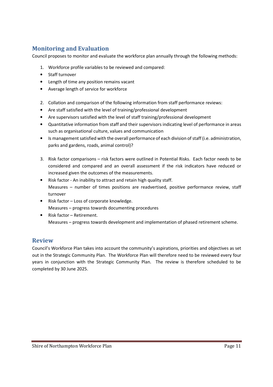# Monitoring and Evaluation

Council proposes to monitor and evaluate the workforce plan annually through the following methods:

- 1. Workforce profile variables to be reviewed and compared:
- Staff turnover
- Length of time any position remains vacant
- Average length of service for workforce
- 2. Collation and comparison of the following information from staff performance reviews:
- Are staff satisfied with the level of training/professional development
- Are supervisors satisfied with the level of staff training/professional development
- Quantitative information from staff and their supervisors indicating level of performance in areas such as organisational culture, values and communication
- Is management satisfied with the overall performance of each division of staff (i.e. administration, parks and gardens, roads, animal control)?
- 3. Risk factor comparisons risk factors were outlined in Potential Risks. Each factor needs to be considered and compared and an overall assessment if the risk indicators have reduced or increased given the outcomes of the measurements.
- Risk factor An inability to attract and retain high quality staff. Measures – number of times positions are readvertised, positive performance review, staff turnover
- Risk factor Loss of corporate knowledge. Measures – progress towards documenting procedures
- Risk factor Retirement. Measures – progress towards development and implementation of phased retirement scheme.

## Review

Council's Workforce Plan takes into account the community's aspirations, priorities and objectives as set out in the Strategic Community Plan. The Workforce Plan will therefore need to be reviewed every four years in conjunction with the Strategic Community Plan. The review is therefore scheduled to be completed by 30 June 2025.